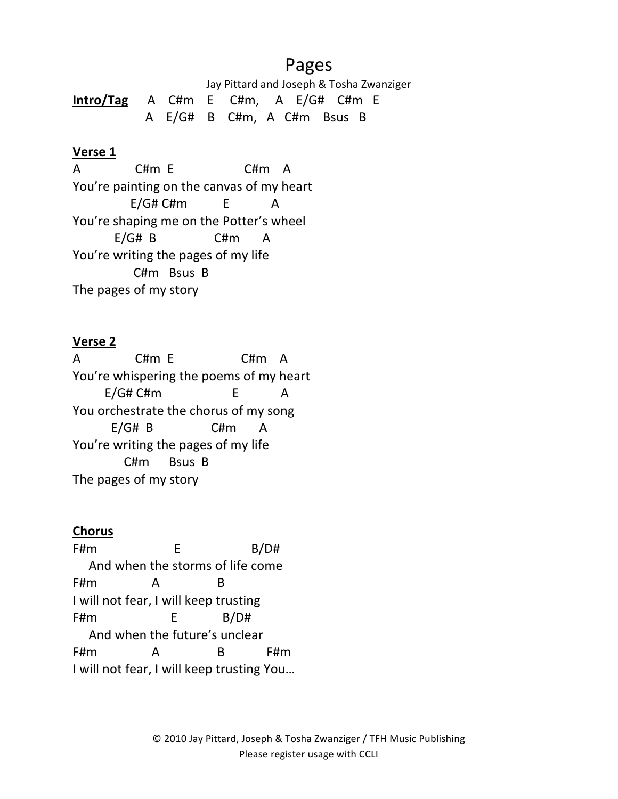# Pages

Jay Pittard and Joseph & Tosha Zwanziger A C#m E C#m, A E/G# C#m E Intro/Tag A E/G# B C#m, A C#m Bsus B

## <u>Verse 1</u>

 $C#m E$  $C#m A$  $\Delta$ You're painting on the canvas of my heart  $E/G#C#m$  $E$  $\mathsf{A}$ You're shaping me on the Potter's wheel  $E/G# B$  $C#m$  $\overline{A}$ You're writing the pages of my life C#m Bsus B The pages of my story

#### Verse 2

 $\mathsf{A}$  $CHm E$  $C#m A$ You're whispering the poems of my heart  $E/G#C#m$  $E$  $\mathsf{A}$ You orchestrate the chorus of my song  $E/G# B$  $C#m$  $\mathsf{A}$ You're writing the pages of my life  $C#m$ Bsus B The pages of my story

## **Chorus**

 $F#m$ E  $B/D#$ And when the storms of life come  $F#m$ <sub>B</sub>  $\mathsf{A}$ I will not fear, I will keep trusting  $F#m$ E.  $B/D#$ And when the future's unclear  $F#m$  $\mathsf{A}$  $\mathsf{B}$ F#m I will not fear, I will keep trusting You...